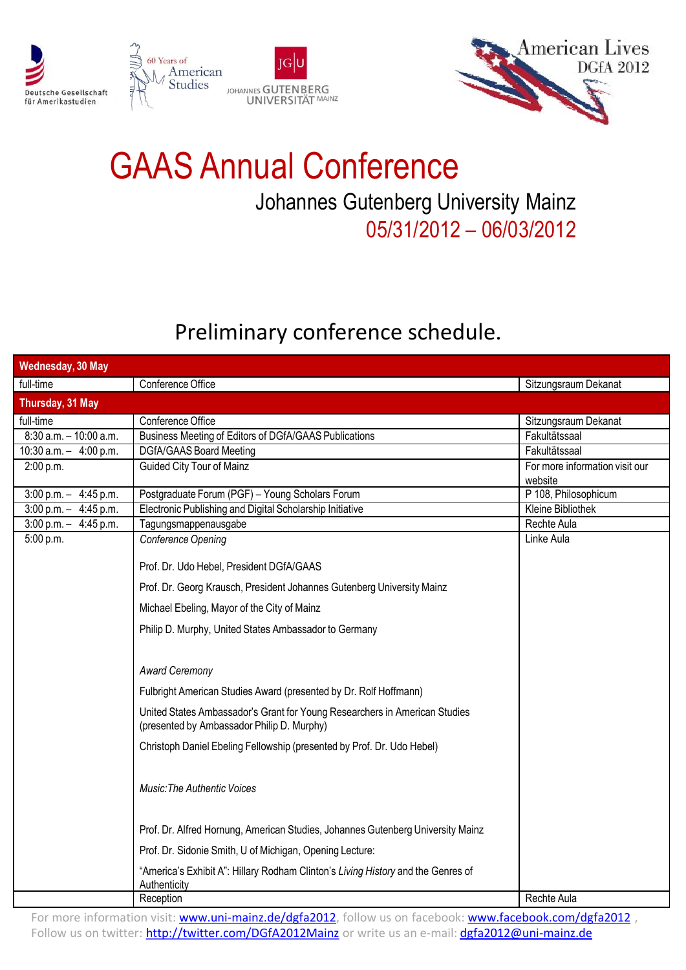





## GAAS Annual Conference Johannes Gutenberg University Mainz 05/31/2012 – 06/03/2012

#### Preliminary conference schedule.

| Wednesday, 30 May          |                                                                                                                          |                                           |
|----------------------------|--------------------------------------------------------------------------------------------------------------------------|-------------------------------------------|
| full-time                  | Conference Office                                                                                                        | Sitzungsraum Dekanat                      |
| Thursday, 31 May           |                                                                                                                          |                                           |
| full-time                  | Conference Office                                                                                                        | Sitzungsraum Dekanat                      |
| $8:30$ a.m. $-10:00$ a.m.  | Business Meeting of Editors of DGfA/GAAS Publications                                                                    | Fakultätssaal                             |
| $10:30$ a.m. $-$ 4:00 p.m. | <b>DGfA/GAAS Board Meeting</b>                                                                                           | Fakultätssaal                             |
| 2:00 p.m.                  | <b>Guided City Tour of Mainz</b>                                                                                         | For more information visit our<br>website |
| $3:00$ p.m. $-4:45$ p.m.   | Postgraduate Forum (PGF) - Young Scholars Forum                                                                          | P 108, Philosophicum                      |
| $3:00$ p.m. $-4:45$ p.m.   | Electronic Publishing and Digital Scholarship Initiative                                                                 | Kleine Bibliothek                         |
| $3:00$ p.m. $-4:45$ p.m.   | Tagungsmappenausgabe                                                                                                     | Rechte Aula                               |
| 5:00 p.m.                  | Conference Opening                                                                                                       | Linke Aula                                |
|                            | Prof. Dr. Udo Hebel, President DGfA/GAAS                                                                                 |                                           |
|                            | Prof. Dr. Georg Krausch, President Johannes Gutenberg University Mainz                                                   |                                           |
|                            | Michael Ebeling, Mayor of the City of Mainz                                                                              |                                           |
|                            | Philip D. Murphy, United States Ambassador to Germany                                                                    |                                           |
|                            |                                                                                                                          |                                           |
|                            | <b>Award Ceremony</b>                                                                                                    |                                           |
|                            | Fulbright American Studies Award (presented by Dr. Rolf Hoffmann)                                                        |                                           |
|                            | United States Ambassador's Grant for Young Researchers in American Studies<br>(presented by Ambassador Philip D. Murphy) |                                           |
|                            | Christoph Daniel Ebeling Fellowship (presented by Prof. Dr. Udo Hebel)                                                   |                                           |
|                            | <b>Music: The Authentic Voices</b>                                                                                       |                                           |
|                            | Prof. Dr. Alfred Hornung, American Studies, Johannes Gutenberg University Mainz                                          |                                           |
|                            | Prof. Dr. Sidonie Smith, U of Michigan, Opening Lecture:                                                                 |                                           |
|                            | "America's Exhibit A": Hillary Rodham Clinton's Living History and the Genres of<br>Authenticity                         |                                           |
|                            | Reception                                                                                                                | Rechte Aula                               |

For more information visit: [www.uni-mainz.de/dgfa2012,](http://www.uni-mainz.de/dgfa2012) follow us on facebook: [www.facebook.com/dgfa2012](http://www.facebook.com/dgfa2012), Follow us on twitter: <http://twitter.com/DGfA2012Mainz> or write us an e-mail: [dgfa2012@uni-mainz.de](mailto:dgfa2012@uni-mainz.de)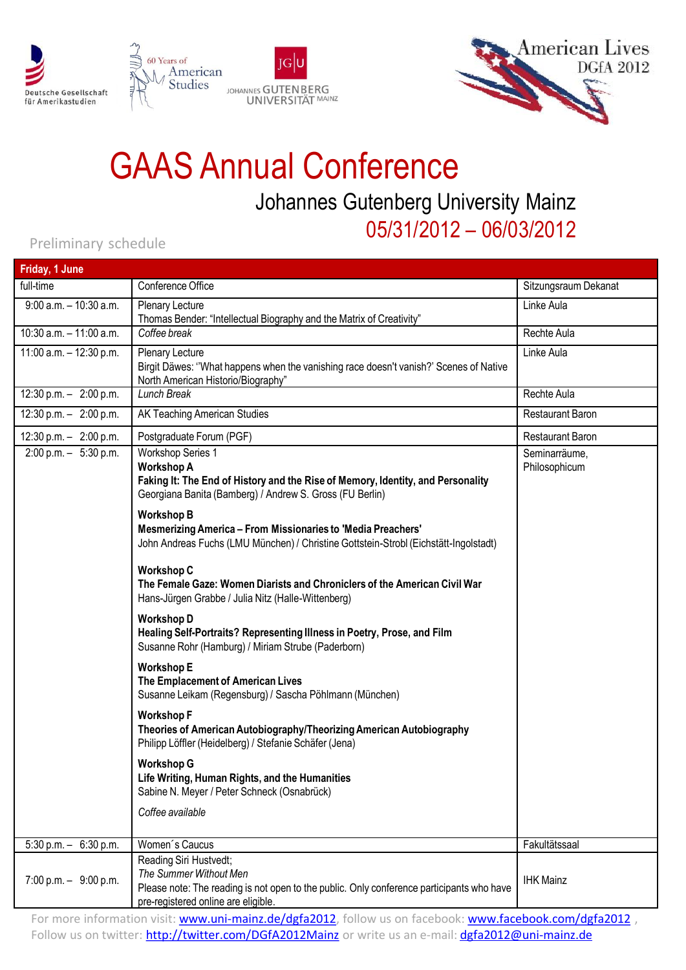





## GAAS Annual Conference Johannes Gutenberg University Mainz 05/31/2012 – 06/03/2012

#### Preliminary schedule

| Friday, 1 June             |                                                                                                                                                                                              |                                |
|----------------------------|----------------------------------------------------------------------------------------------------------------------------------------------------------------------------------------------|--------------------------------|
| full-time                  | Conference Office                                                                                                                                                                            | Sitzungsraum Dekanat           |
| $9:00$ a.m. $-10:30$ a.m.  | Plenary Lecture<br>Thomas Bender: "Intellectual Biography and the Matrix of Creativity"                                                                                                      | Linke Aula                     |
| $10:30$ a.m. $-11:00$ a.m. | Coffee break                                                                                                                                                                                 | Rechte Aula                    |
| 11:00 a.m. - 12:30 p.m.    | Plenary Lecture<br>Birgit Däwes: "What happens when the vanishing race doesn't vanish?' Scenes of Native<br>North American Historio/Biography"                                               | Linke Aula                     |
| $12:30 p.m. - 2:00 p.m.$   | Lunch Break                                                                                                                                                                                  | Rechte Aula                    |
| $12:30 p.m. - 2:00 p.m.$   | AK Teaching American Studies                                                                                                                                                                 | <b>Restaurant Baron</b>        |
| $12:30 p.m. - 2:00 p.m.$   | Postgraduate Forum (PGF)                                                                                                                                                                     | <b>Restaurant Baron</b>        |
| $2:00$ p.m. $-5:30$ p.m.   | <b>Workshop Series 1</b><br><b>Workshop A</b><br>Faking It: The End of History and the Rise of Memory, Identity, and Personality<br>Georgiana Banita (Bamberg) / Andrew S. Gross (FU Berlin) | Seminarräume,<br>Philosophicum |
|                            | <b>Workshop B</b><br><b>Mesmerizing America - From Missionaries to 'Media Preachers'</b><br>John Andreas Fuchs (LMU München) / Christine Gottstein-Strobl (Eichstätt-Ingolstadt)             |                                |
|                            | <b>Workshop C</b><br>The Female Gaze: Women Diarists and Chroniclers of the American Civil War<br>Hans-Jürgen Grabbe / Julia Nitz (Halle-Wittenberg)                                         |                                |
|                            | <b>Workshop D</b><br>Healing Self-Portraits? Representing Illness in Poetry, Prose, and Film<br>Susanne Rohr (Hamburg) / Miriam Strube (Paderborn)                                           |                                |
|                            | <b>Workshop E</b><br>The Emplacement of American Lives<br>Susanne Leikam (Regensburg) / Sascha Pöhlmann (München)                                                                            |                                |
|                            | <b>Workshop F</b><br>Theories of American Autobiography/Theorizing American Autobiography<br>Philipp Löffler (Heidelberg) / Stefanie Schäfer (Jena)                                          |                                |
|                            | <b>Workshop G</b><br>Life Writing, Human Rights, and the Humanities<br>Sabine N. Meyer / Peter Schneck (Osnabrück)                                                                           |                                |
|                            | Coffee available                                                                                                                                                                             |                                |
| $5:30$ p.m. $-6:30$ p.m.   | Women's Caucus                                                                                                                                                                               | Fakultätssaal                  |
| $7:00$ p.m. $-9:00$ p.m.   | Reading Siri Hustvedt;<br>The Summer Without Men<br>Please note: The reading is not open to the public. Only conference participants who have<br>pre-registered online are eligible.         | <b>IHK Mainz</b>               |
|                            |                                                                                                                                                                                              |                                |

For more information visit: [www.uni-mainz.de/dgfa2012,](http://www.uni-mainz.de/dgfa2012) follow us on facebook: [www.facebook.com/dgfa2012](http://www.facebook.com/dgfa2012), Follow us on twitter: <http://twitter.com/DGfA2012Mainz> or write us an e-mail: [dgfa2012@uni-mainz.de](mailto:dgfa2012@uni-mainz.de)